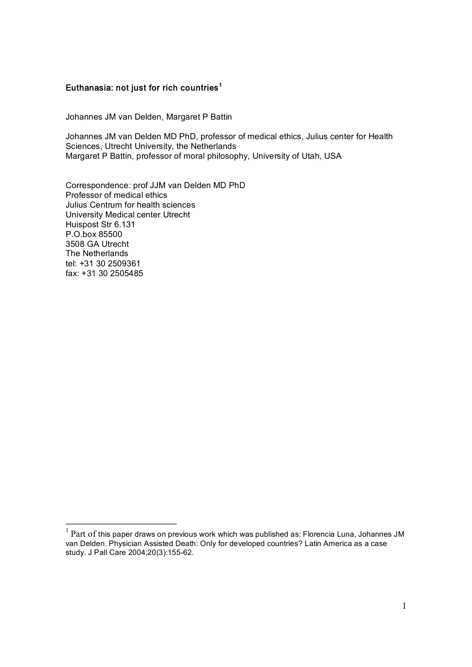# Euthanasia: not just for rich countries<sup>1</sup>

Johannes JM van Delden, Margaret P Battin

Johannes JM van Delden MD PhD, professor of medical ethics, Julius center for Health Sciences, Utrecht University, the Netherlands Margaret P Battin, professor of moral philosophy, University of Utah, USA

Correspondence: prof JJM van Delden MD PhD Professor of medical ethics Julius Centrum for health sciences University Medical center Utrecht Huispost Str 6.131 P.O.box 85500 3508 GA Utrecht The Netherlands tel: +31 30 2509361 fax: +31 30 2505485

 $1$  Part of this paper draws on previous work which was published as: Florencia Luna, Johannes JM van Delden. Physician Assisted Death: Only for developed countries? Latin America as a case study. J Pall Care 2004;20(3):155-62.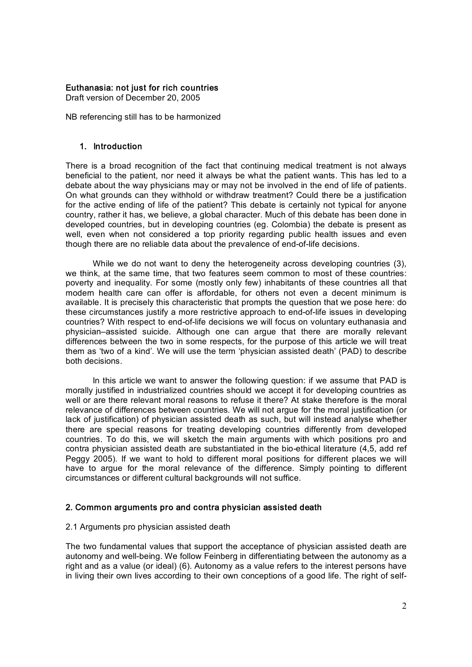# Euthanasia: not just for rich countries

Draft version of December 20, 2005

NB referencing still has to be harmonized

# 1. Introduction

There is a broad recognition of the fact that continuing medical treatment is not always beneficial to the patient, nor need it always be what the patient wants. This has led to a debate about the way physicians may or may not be involved in the end of life of patients. On what grounds can they withhold or withdraw treatment? Could there be a justification for the active ending of life of the patient? This debate is certainly not typical for anyone country, rather it has, we believe, a global character. Much of this debate has been done in developed countries, but in developing countries (eg. Colombia) the debate is present as well, even when not considered a top priority regarding public health issues and even though there are no reliable data about the prevalence of end-of-life decisions.

While we do not want to deny the heterogeneity across developing countries (3), we think, at the same time, that two features seem common to most of these countries: poverty and inequality. For some (mostly only few) inhabitants of these countries all that modern health care can offer is affordable, for others not even a decent minimum is available. It is precisely this characteristic that prompts the question that we pose here: do these circumstances justify a more restrictive approach to end-of-life issues in developing countries? With respect to end-of-life decisions we will focus on voluntary euthanasia and physician–assisted suicide. Although one can argue that there are morally relevant differences between the two in some respects, for the purpose of this article we will treat them as 'two of a kind'. We will use the term 'physician assisted death' (PAD) to describe both decisions.

In this article we want to answer the following question: if we assume that PAD is morally justified in industrialized countries should we accept it for developing countries as well or are there relevant moral reasons to refuse it there? At stake therefore is the moral relevance of differences between countries. We will not argue for the moral justification (or lack of justification) of physician assisted death as such, but will instead analyse whether there are special reasons for treating developing countries differently from developed countries. To do this, we will sketch the main arguments with which positions pro and contra physician assisted death are substantiated in the bio-ethical literature (4,5, add ref Peggy 2005). If we want to hold to different moral positions for different places we will have to argue for the moral relevance of the difference. Simply pointing to different circumstances or different cultural backgrounds will not suffice.

## 2. Common arguments pro and contra physician assisted death

## 2.1 Arguments pro physician assisted death

The two fundamental values that support the acceptance of physician assisted death are autonomy and well-being. We follow Feinberg in differentiating between the autonomy as a right and as a value (or ideal) (6). Autonomy as a value refers to the interest persons have in living their own lives according to their own conceptions of a good life. The right of self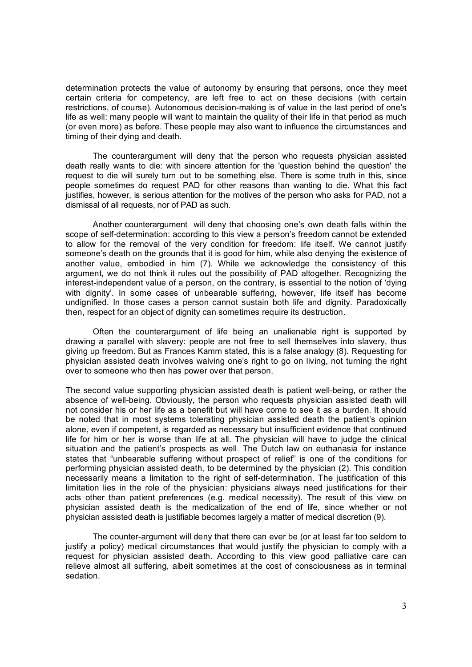determination protects the value of autonomy by ensuring that persons, once they meet certain criteria for competency, are left free to act on these decisions (with certain restrictions, of course). Autonomous decision-making is of value in the last period of one's life as well: many people will want to maintain the quality of their life in that period as much (or even more) as before. These people may also want to influence the circumstances and timing of their dying and death.

The counterargument will deny that the person who requests physician assisted death really wants to die: with sincere attention for the 'question behind the question' the request to die will surely turn out to be something else. There is some truth in this, since people sometimes do request PAD for other reasons than wanting to die. What this fact justifies, however, is serious attention for the motives of the person who asks for PAD, not a dismissal of all requests, nor of PAD as such.

Another counterargument will deny that choosing one's own death falls within the scope of self-determination: according to this view a person's freedom cannot be extended to allow for the removal of the very condition for freedom: life itself. We cannot justify someone's death on the grounds that it is good for him, while also denying the existence of another value, embodied in him (7). While we acknowledge the consistency of this argument, we do not think it rules out the possibility of PAD altogether. Recognizing the interest-independent value of a person, on the contrary, is essential to the notion of 'dying with dignity'. In some cases of unbearable suffering, however, life itself has become undignified. In those cases a person cannot sustain both life and dignity. Paradoxically then, respect for an object of dignity can sometimes require its destruction.

Often the counterargument of life being an unalienable right is supported by drawing a parallel with slavery: people are not free to sell themselves into slavery, thus giving up freedom. But as Frances Kamm stated, this is a false analogy (8). Requesting for physician assisted death involves waiving one's right to go on living, not turning the right over to someone who then has power over that person.

The second value supporting physician assisted death is patient well-being, or rather the absence of well-being. Obviously, the person who requests physician assisted death will not consider his or her life as a benefit but will have come to see it as a burden. It should be noted that in most systems tolerating physician assisted death the patient's opinion alone, even if competent, is regarded as necessary but insufficient evidence that continued life for him or her is worse than life at all. The physician will have to judge the clinical situation and the patient's prospects as well. The Dutch law on euthanasia for instance states that "unbearable suffering without prospect of relief" is one of the conditions for performing physician assisted death, to be determined by the physician (2). This condition necessarily means a limitation to the right of self-determination. The justification of this limitation lies in the role of the physician: physicians always need justifications for their acts other than patient preferences (e.g. medical necessity). The result of this view on physician assisted death is the medicalization of the end of life, since whether or not physician assisted death is justifiable becomes largely a matter of medical discretion (9).

The counter-argument will deny that there can ever be (or at least far too seldom to justify a policy) medical circumstances that would justify the physician to comply with a request for physician assisted death. According to this view good palliative care can relieve almost all suffering, albeit sometimes at the cost of consciousness as in terminal sedation.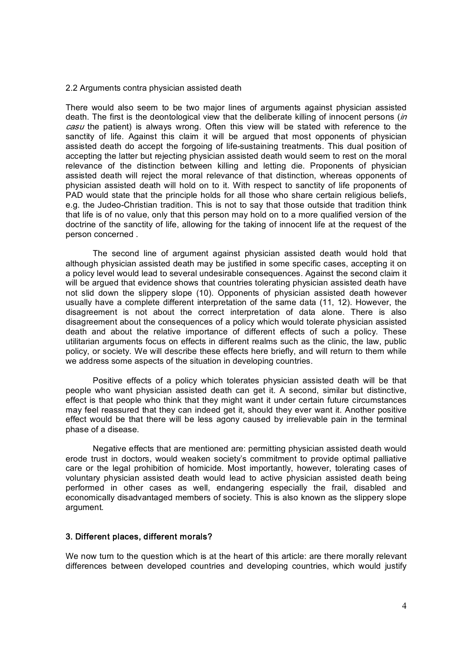#### 2.2 Arguments contra physician assisted death

There would also seem to be two major lines of arguments against physician assisted death. The first is the deontological view that the deliberate killing of innocent persons (in casu the patient) is always wrong. Often this view will be stated with reference to the sanctity of life. Against this claim it will be argued that most opponents of physician assisted death do accept the forgoing of lifesustaining treatments. This dual position of accepting the latter but rejecting physician assisted death would seem to rest on the moral relevance of the distinction between killing and letting die. Proponents of physician assisted death will reject the moral relevance of that distinction, whereas opponents of physician assisted death will hold on to it. With respect to sanctity of life proponents of PAD would state that the principle holds for all those who share certain religious beliefs, e.g. the Judeo-Christian tradition. This is not to say that those outside that tradition think that life is of no value, only that this person may hold on to a more qualified version of the doctrine of the sanctity of life, allowing for the taking of innocent life at the request of the person concerned .

The second line of argument against physician assisted death would hold that although physician assisted death may be justified in some specific cases, accepting it on a policy level would lead to several undesirable consequences. Against the second claim it will be argued that evidence shows that countries tolerating physician assisted death have not slid down the slippery slope (10). Opponents of physician assisted death however usually have a complete different interpretation of the same data (11, 12). However, the disagreement is not about the correct interpretation of data alone. There is also disagreement about the consequences of a policy which would tolerate physician assisted death and about the relative importance of different effects of such a policy. These utilitarian arguments focus on effects in different realms such as the clinic, the law, public policy, or society. We will describe these effects here briefly, and will return to them while we address some aspects of the situation in developing countries.

Positive effects of a policy which tolerates physician assisted death will be that people who want physician assisted death can get it. A second, similar but distinctive, effect is that people who think that they might want it under certain future circumstances may feel reassured that they can indeed get it, should they ever want it. Another positive effect would be that there will be less agony caused by irrelievable pain in the terminal phase of a disease.

Negative effects that are mentioned are: permitting physician assisted death would erode trust in doctors, would weaken society's commitment to provide optimal palliative care or the legal prohibition of homicide. Most importantly, however, tolerating cases of voluntary physician assisted death would lead to active physician assisted death being performed in other cases as well, endangering especially the frail, disabled and economically disadvantaged members of society. This is also known as the slippery slope argument.

# 3. Different places, different morals?

We now turn to the question which is at the heart of this article: are there morally relevant differences between developed countries and developing countries, which would justify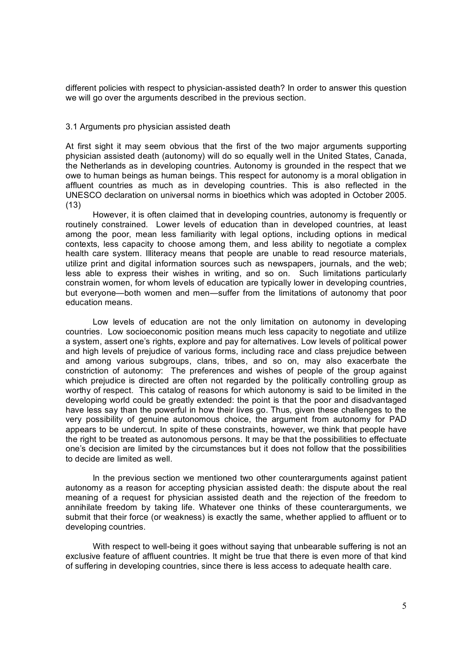different policies with respect to physician-assisted death? In order to answer this question we will go over the arguments described in the previous section.

### 3.1 Arguments pro physician assisted death

At first sight it may seem obvious that the first of the two major arguments supporting physician assisted death (autonomy) will do so equally well in the United States, Canada, the Netherlands as in developing countries. Autonomy is grounded in the respect that we owe to human beings as human beings. This respect for autonomy is a moral obligation in affluent countries as much as in developing countries. This is also reflected in the UNESCO declaration on universal norms in bioethics which was adopted in October 2005.  $(13)$ 

However, it is often claimed that in developing countries, autonomy is frequently or routinely constrained. Lower levels of education than in developed countries, at least among the poor, mean less familiarity with legal options, including options in medical contexts, less capacity to choose among them, and less ability to negotiate a complex health care system. Illiteracy means that people are unable to read resource materials, utilize print and digital information sources such as newspapers, journals, and the web; less able to express their wishes in writing, and so on. Such limitations particularly constrain women, for whom levels of education are typically lower in developing countries, but everyone—both women and men—suffer from the limitations of autonomy that poor education means.

Low levels of education are not the only limitation on autonomy in developing countries. Low socioeconomic position means much less capacity to negotiate and utilize a system, assert one's rights, explore and pay for alternatives. Low levels of political power and high levels of prejudice of various forms, including race and class prejudice between and among various subgroups, clans, tribes, and so on, may also exacerbate the constriction of autonomy: The preferences and wishes of people of the group against which prejudice is directed are often not regarded by the politically controlling group as worthy of respect. This catalog of reasons for which autonomy is said to be limited in the developing world could be greatly extended: the point is that the poor and disadvantaged have less say than the powerful in how their lives go. Thus, given these challenges to the very possibility of genuine autonomous choice, the argument from autonomy for PAD appears to be undercut. In spite of these constraints, however, we think that people have the right to be treated as autonomous persons. It may be that the possibilities to effectuate one's decision are limited by the circumstances but it does not follow that the possibilities to decide are limited as well.

In the previous section we mentioned two other counterarguments against patient autonomy as a reason for accepting physician assisted death: the dispute about the real meaning of a request for physician assisted death and the rejection of the freedom to annihilate freedom by taking life. Whatever one thinks of these counterarguments, we submit that their force (or weakness) is exactly the same, whether applied to affluent or to developing countries.

With respect to well-being it goes without saying that unbearable suffering is not an exclusive feature of affluent countries. It might be true that there is even more of that kind of suffering in developing countries, since there is less access to adequate health care.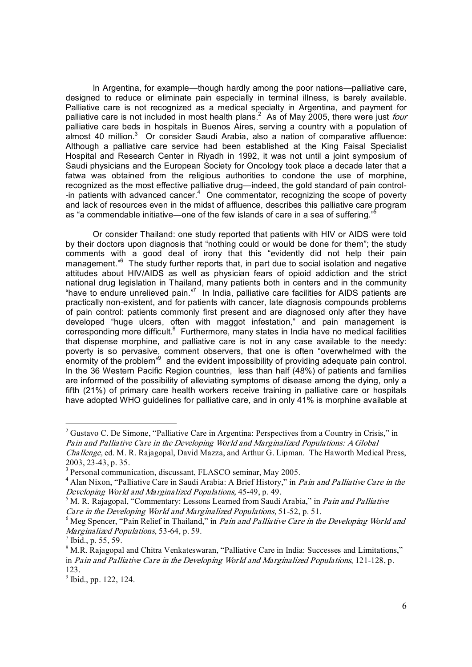In Argentina, for example—though hardly among the poor nations—palliative care, designed to reduce or eliminate pain especially in terminal illness, is barely available. Palliative care is not recognized as a medical specialty in Argentina, and payment for palliative care is not included in most health plans.<sup>2</sup> As of May 2005, there were just four palliative care beds in hospitals in Buenos Aires, serving a country with a population of almost 40 million. $3$  Or consider Saudi Arabia, also a nation of comparative affluence: Although a palliative care service had been established at the King Faisal Specialist Hospital and Research Center in Riyadh in 1992, it was not until a joint symposium of Saudi physicians and the European Society for Oncology took place a decade later that a fatwa was obtained from the religious authorities to condone the use of morphine, recognized as the most effective palliative drug—indeed, the gold standard of pain control  $-$ in patients with advanced cancer.<sup>4</sup> One commentator, recognizing the scope of poverty and lack of resources even in the midst of affluence, describes this palliative care program as "a commendable initiative—one of the few islands of care in a sea of suffering."

Or consider Thailand: one study reported that patients with HIV or AIDS were told by their doctors upon diagnosis that "nothing could or would be done for them"; the study comments with a good deal of irony that this "evidently did not help their pain management."<sup>6</sup> The study further reports that, in part due to social isolation and negative attitudes about HIV/AIDS as well as physician fears of opioid addiction and the strict national drug legislation in Thailand, many patients both in centers and in the community "have to endure unrelieved pain."<sup>7</sup> In India, palliative care facilities for AIDS patients are practically non-existent, and for patients with cancer, late diagnosis compounds problems of pain control: patients commonly first present and are diagnosed only after they have developed "huge ulcers, often with maggot infestation," and pain management is corresponding more difficult. $8$  Furthermore, many states in India have no medical facilities that dispense morphine, and palliative care is not in any case available to the needy: poverty is so pervasive, comment observers, that one is often "overwhelmed with the enormity of the problem<sup>"9</sup> and the evident impossibility of providing adequate pain control. In the 36 Western Pacific Region countries, less than half (48%) of patients and families are informed of the possibility of alleviating symptoms of disease among the dying, only a fifth (21%) of primary care health workers receive training in palliative care or hospitals have adopted WHO guidelines for palliative care, and in only 41% is morphine available at

<sup>&</sup>lt;sup>2</sup> Gustavo C. De Simone, "Palliative Care in Argentina: Perspectives from a Country in Crisis," in Pain and Palliative Care in the Developing World and Marginalized Populations: A Global Challenge, ed. M. R. Rajagopal, David Mazza, and Arthur G. Lipman. The Haworth Medical Press, 2003, 23-43, p. 35.<br><sup>3</sup> Personal communication, discussant, FLASCO seminar, May 2005.<br><sup>4</sup> Alan Nixon, "Palliative Care in Saudi Arabia: A Brief History," in *Pain and Palliative Care in the* 

Developing World and Marginalized Populations, 45-49, p. 49.<br><sup>5</sup> M. R. Rajagopal, "Commentary: Lessons Learned from Saudi Arabia," in *Pain and Palliative Care in the Developing World and Marginalized Populations*, 51-52,

<sup>&</sup>lt;sup>6</sup> Meg Spencer, "Pain Relief in Thailand," in *Pain and Palliative Care in the Developing World and Marginalized Populations*, 53-64, p. 59.<br><sup>7</sup> Ibid., p. 55, 59.<br><sup>8</sup> M.R. Rajagopal and Chitra Venkateswaran, "Palliative Care in India: Successes and Limitations,"

in Pain and Palliative Care in the Developing World and Marginalized Populations,  $121-128$ , p.  $^{9}$  Ibid., pp. 122, 124.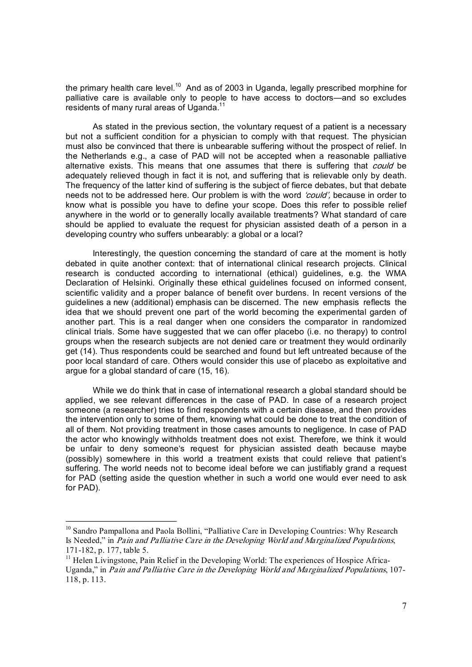the primary health care level.<sup>10</sup> And as of 2003 in Uganda, legally prescribed morphine for palliative care is available only to people to have access to doctors—and so excludes residents of many rural areas of Uganda.<sup>11</sup>

As stated in the previous section, the voluntary request of a patient is a necessary but not a sufficient condition for a physician to comply with that request. The physician must also be convinced that there is unbearable suffering without the prospect of relief. In the Netherlands e.g., a case of PAD will not be accepted when a reasonable palliative alternative exists. This means that one assumes that there is suffering that *could* be adequately relieved though in fact it is not, and suffering that is relievable only by death. The frequency of the latter kind of suffering is the subject of fierce debates, but that debate needs not to be addressed here. Our problem is with the word 'could', because in order to know what is possible you have to define your scope. Does this refer to possible relief anywhere in the world or to generally locally available treatments? What standard of care should be applied to evaluate the request for physician assisted death of a person in a developing country who suffers unbearably: a global or a local?

Interestingly, the question concerning the standard of care at the moment is hotly debated in quite another context: that of international clinical research projects. Clinical research is conducted according to international (ethical) guidelines, e.g. the WMA Declaration of Helsinki. Originally these ethical guidelines focused on informed consent, scientific validity and a proper balance of benefit over burdens. In recent versions of the guidelines a new (additional) emphasis can be discerned. The new emphasis reflects the idea that we should prevent one part of the world becoming the experimental garden of another part. This is a real danger when one considers the comparator in randomized clinical trials. Some have suggested that we can offer placebo (i.e. no therapy) to control groups when the research subjects are not denied care or treatment they would ordinarily get (14). Thus respondents could be searched and found but left untreated because of the poor local standard of care. Others would consider this use of placebo as exploitative and argue for a global standard of care (15, 16).

While we do think that in case of international research a global standard should be applied, we see relevant differences in the case of PAD. In case of a research project someone (a researcher) tries to find respondents with a certain disease, and then provides the intervention only to some of them, knowing what could be done to treat the condition of all of them. Not providing treatment in those cases amounts to negligence. In case of PAD the actor who knowingly withholds treatment does not exist. Therefore, we think it would be unfair to deny someone's request for physician assisted death because maybe (possibly) somewhere in this world a treatment exists that could relieve that patient's suffering. The world needs not to become ideal before we can justifiably grand a request for PAD (setting aside the question whether in such a world one would ever need to ask for PAD).

<sup>&</sup>lt;sup>10</sup> Sandro Pampallona and Paola Bollini, "Palliative Care in Developing Countries: Why Research Is Needed," in Pain and Palliative Care in the Developing World and Marginalized Populations, 171182, p. 177, table 5.

<sup>&</sup>lt;sup>11</sup> Helen Livingstone, Pain Relief in the Developing World: The experiences of Hospice Africa-Uganda," in Pain and Palliative Care in the Developing World and Marginalized Populations, 107-118, p. 113.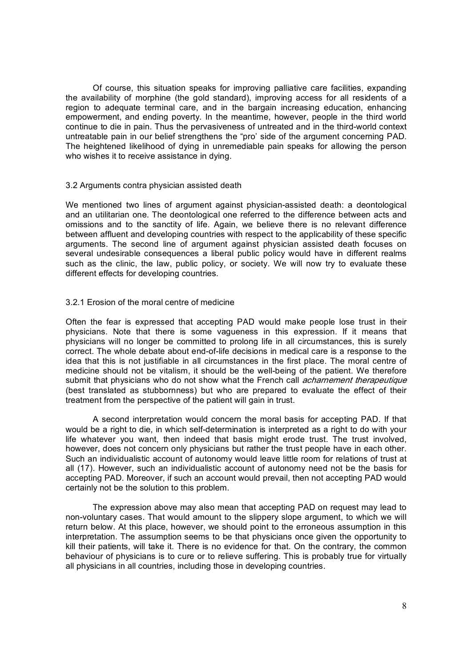Of course, this situation speaks for improving palliative care facilities, expanding the availability of morphine (the gold standard), improving access for all residents of a region to adequate terminal care, and in the bargain increasing education, enhancing empowerment, and ending poverty. In the meantime, however, people in the third world continue to die in pain. Thus the pervasiveness of untreated and in the third-world context untreatable pain in our belief strengthens the "pro' side of the argument concerning PAD. The heightened likelihood of dying in unremediable pain speaks for allowing the person who wishes it to receive assistance in dying.

### 3.2 Arguments contra physician assisted death

We mentioned two lines of argument against physician-assisted death: a deontological and an utilitarian one. The deontological one referred to the difference between acts and omissions and to the sanctity of life. Again, we believe there is no relevant difference between affluent and developing countries with respect to the applicability of these specific arguments. The second line of argument against physician assisted death focuses on several undesirable consequences a liberal public policy would have in different realms such as the clinic, the law, public policy, or society. We will now try to evaluate these different effects for developing countries.

#### 3.2.1 Erosion of the moral centre of medicine

Often the fear is expressed that accepting PAD would make people lose trust in their physicians. Note that there is some vagueness in this expression. If it means that physicians will no longer be committed to prolong life in all circumstances, this is surely correct. The whole debate about end-of-life decisions in medical care is a response to the idea that this is not justifiable in all circumstances in the first place. The moral centre of medicine should not be vitalism, it should be the well-being of the patient. We therefore submit that physicians who do not show what the French call *acharnement therapeutique* (best translated as stubbornness) but who are prepared to evaluate the effect of their treatment from the perspective of the patient will gain in trust.

A second interpretation would concern the moral basis for accepting PAD. If that would be a right to die, in which self-determination is interpreted as a right to do with your life whatever you want, then indeed that basis might erode trust. The trust involved, however, does not concern only physicians but rather the trust people have in each other. Such an individualistic account of autonomy would leave little room for relations of trust at all (17). However, such an individualistic account of autonomy need not be the basis for accepting PAD. Moreover, if such an account would prevail, then not accepting PAD would certainly not be the solution to this problem.

The expression above may also mean that accepting PAD on request may lead to non-voluntary cases. That would amount to the slippery slope argument, to which we will return below. At this place, however, we should point to the erroneous assumption in this interpretation. The assumption seems to be that physicians once given the opportunity to kill their patients, will take it. There is no evidence for that. On the contrary, the common behaviour of physicians is to cure or to relieve suffering. This is probably true for virtually all physicians in all countries, including those in developing countries.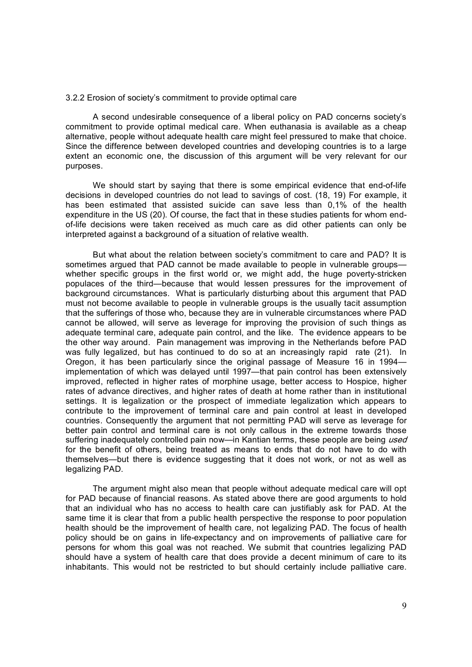#### 3.2.2 Erosion of society's commitment to provide optimal care

A second undesirable consequence of a liberal policy on PAD concerns society's commitment to provide optimal medical care. When euthanasia is available as a cheap alternative, people without adequate health care might feel pressured to make that choice. Since the difference between developed countries and developing countries is to a large extent an economic one, the discussion of this argument will be very relevant for our purposes.

We should start by saying that there is some empirical evidence that end-of-life decisions in developed countries do not lead to savings of cost. (18, 19) For example, it has been estimated that assisted suicide can save less than 0,1% of the health expenditure in the US (20). Of course, the fact that in these studies patients for whom end oflife decisions were taken received as much care as did other patients can only be interpreted against a background of a situation of relative wealth.

But what about the relation between society's commitment to care and PAD? It is sometimes argued that PAD cannot be made available to people in vulnerable groups whether specific groups in the first world or, we might add, the huge poverty-stricken populaces of the third—because that would lessen pressures for the improvement of background circumstances. What is particularly disturbing about this argument that PAD must not become available to people in vulnerable groups is the usually tacit assumption that the sufferings of those who, because they are in vulnerable circumstances where PAD cannot be allowed, will serve as leverage for improving the provision of such things as adequate terminal care, adequate pain control, and the like. The evidence appears to be the other way around. Pain management was improving in the Netherlands before PAD was fully legalized, but has continued to do so at an increasingly rapid rate (21). In Oregon, it has been particularly since the original passage of Measure 16 in 1994 implementation of which was delayed until 1997—that pain control has been extensively improved, reflected in higher rates of morphine usage, better access to Hospice, higher rates of advance directives, and higher rates of death at home rather than in institutional settings. It is legalization or the prospect of immediate legalization which appears to contribute to the improvement of terminal care and pain control at least in developed countries. Consequently the argument that not permitting PAD will serve as leverage for better pain control and terminal care is not only callous in the extreme towards those suffering inadequately controlled pain now—in Kantian terms, these people are being used for the benefit of others, being treated as means to ends that do not have to do with themselves—but there is evidence suggesting that it does not work, or not as well as legalizing PAD.

The argument might also mean that people without adequate medical care will opt for PAD because of financial reasons. As stated above there are good arguments to hold that an individual who has no access to health care can justifiably ask for PAD. At the same time it is clear that from a public health perspective the response to poor population health should be the improvement of health care, not legalizing PAD. The focus of health policy should be on gains in life-expectancy and on improvements of palliative care for persons for whom this goal was not reached. We submit that countries legalizing PAD should have a system of health care that does provide a decent minimum of care to its inhabitants. This would not be restricted to but should certainly include palliative care.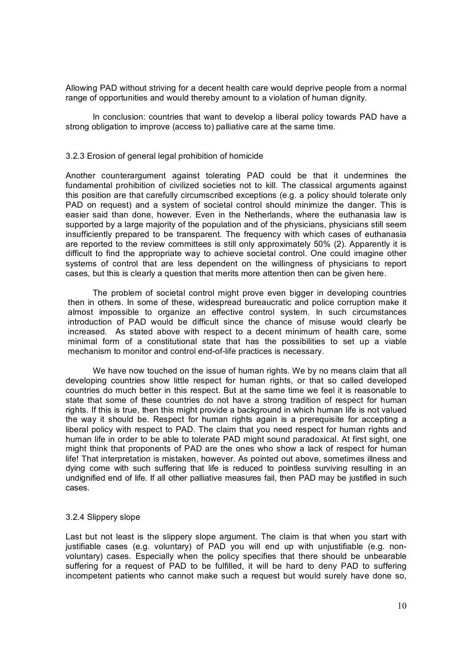Allowing PAD without striving for a decent health care would deprive people from a normal range of opportunities and would thereby amount to a violation of human dignity.

In conclusion: countries that want to develop a liberal policy towards PAD have a strong obligation to improve (access to) palliative care at the same time.

#### 3.2.3 Erosion of general legal prohibition of homicide

Another counterargument against tolerating PAD could be that it undermines the fundamental prohibition of civilized societies not to kill. The classical arguments against this position are that carefully circumscribed exceptions (e.g. a policy should tolerate only PAD on request) and a system of societal control should minimize the danger. This is easier said than done, however. Even in the Netherlands, where the euthanasia law is supported by a large majority of the population and of the physicians, physicians still seem insufficiently prepared to be transparent. The frequency with which cases of euthanasia are reported to the review committees is still only approximately 50% (2). Apparently it is difficult to find the appropriate way to achieve societal control. One could imagine other systems of control that are less dependent on the willingness of physicians to report cases, but this is clearly a question that merits more attention then can be given here.

The problem of societal control might prove even bigger in developing countries then in others. In some of these, widespread bureaucratic and police corruption make it almost impossible to organize an effective control system. In such circumstances introduction of PAD would be difficult since the chance of misuse would clearly be increased. As stated above with respect to a decent minimum of health care, some minimal form of a constitutional state that has the possibilities to set up a viable mechanism to monitor and control end-of-life practices is necessary.

We have now touched on the issue of human rights. We by no means claim that all developing countries show little respect for human rights, or that so called developed countries do much better in this respect. But at the same time we feel it is reasonable to state that some of these countries do not have a strong tradition of respect for human rights. If this is true, then this might provide a background in which human life is not valued the way it should be. Respect for human rights again is a prerequisite for accepting a liberal policy with respect to PAD. The claim that you need respect for human rights and human life in order to be able to tolerate PAD might sound paradoxical. At first sight, one might think that proponents of PAD are the ones who show a lack of respect for human life! That interpretation is mistaken, however. As pointed out above, sometimes illness and dying come with such suffering that life is reduced to pointless surviving resulting in an undignified end of life. If all other palliative measures fail, then PAD may be justified in such cases.

### 3.2.4 Slippery slope

Last but not least is the slippery slope argument. The claim is that when you start with justifiable cases (e.g. voluntary) of PAD you will end up with unjustifiable (e.g. non voluntary) cases. Especially when the policy specifies that there should be unbearable suffering for a request of PAD to be fulfilled, it will be hard to deny PAD to suffering incompetent patients who cannot make such a request but would surely have done so,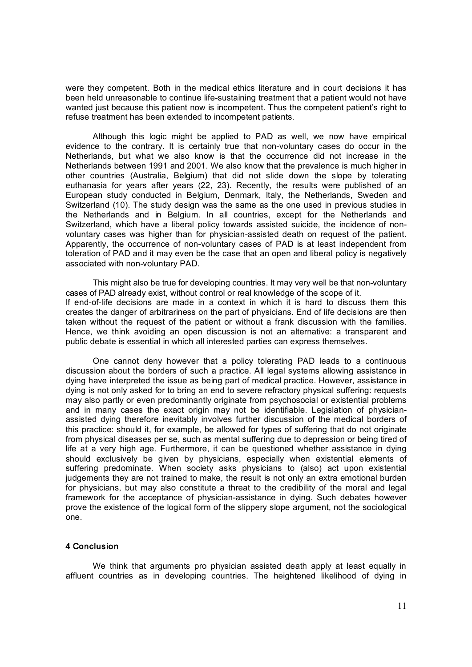were they competent. Both in the medical ethics literature and in court decisions it has been held unreasonable to continue life-sustaining treatment that a patient would not have wanted just because this patient now is incompetent. Thus the competent patient's right to refuse treatment has been extended to incompetent patients.

Although this logic might be applied to PAD as well, we now have empirical evidence to the contrary. It is certainly true that non-voluntary cases do occur in the Netherlands, but what we also know is that the occurrence did not increase in the Netherlands between 1991 and 2001. We also know that the prevalence is much higher in other countries (Australia, Belgium) that did not slide down the slope by tolerating euthanasia for years after years (22, 23). Recently, the results were published of an European study conducted in Belgium, Denmark, Italy, the Netherlands, Sweden and Switzerland (10). The study design was the same as the one used in previous studies in the Netherlands and in Belgium. In all countries, except for the Netherlands and Switzerland, which have a liberal policy towards assisted suicide, the incidence of non voluntary cases was higher than for physician-assisted death on request of the patient. Apparently, the occurrence of non-voluntary cases of PAD is at least independent from toleration of PAD and it may even be the case that an open and liberal policy is negatively associated with non-voluntary PAD.

This might also be true for developing countries. It may very well be that non-voluntary cases of PAD already exist, without control or real knowledge of the scope of it. If end-of-life decisions are made in a context in which it is hard to discuss them this creates the danger of arbitrariness on the part of physicians. End of life decisions are then taken without the request of the patient or without a frank discussion with the families. Hence, we think avoiding an open discussion is not an alternative: a transparent and public debate is essential in which all interested parties can express themselves.

One cannot deny however that a policy tolerating PAD leads to a continuous discussion about the borders of such a practice. All legal systems allowing assistance in dying have interpreted the issue as being part of medical practice. However, assistance in dying is not only asked for to bring an end to severe refractory physical suffering: requests may also partly or even predominantly originate from psychosocial or existential problems and in many cases the exact origin may not be identifiable. Legislation of physician assisted dying therefore inevitably involves further discussion of the medical borders of this practice: should it, for example, be allowed for types of suffering that do not originate from physical diseases per se, such as mental suffering due to depression or being tired of life at a very high age. Furthermore, it can be questioned whether assistance in dying should exclusively be given by physicians, especially when existential elements of suffering predominate. When society asks physicians to (also) act upon existential judgements they are not trained to make, the result is not only an extra emotional burden for physicians, but may also constitute a threat to the credibility of the moral and legal framework for the acceptance of physician-assistance in dying. Such debates however prove the existence of the logical form of the slippery slope argument, not the sociological one.

## 4 Conclusion

We think that arguments pro physician assisted death apply at least equally in affluent countries as in developing countries. The heightened likelihood of dying in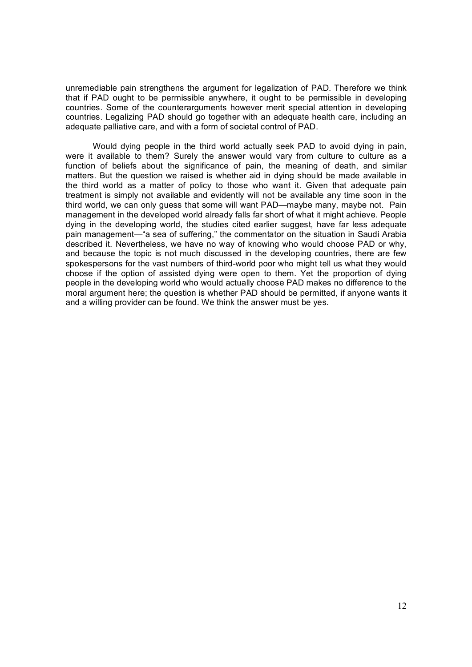unremediable pain strengthens the argument for legalization of PAD. Therefore we think that if PAD ought to be permissible anywhere, it ought to be permissible in developing countries. Some of the counterarguments however merit special attention in developing countries. Legalizing PAD should go together with an adequate health care, including an adequate palliative care, and with a form of societal control of PAD.

Would dying people in the third world actually seek PAD to avoid dying in pain, were it available to them? Surely the answer would vary from culture to culture as a function of beliefs about the significance of pain, the meaning of death, and similar matters. But the question we raised is whether aid in dying should be made available in the third world as a matter of policy to those who want it. Given that adequate pain treatment is simply not available and evidently will not be available any time soon in the third world, we can only guess that some will want PAD—maybe many, maybe not. Pain management in the developed world already falls far short of what it might achieve. People dying in the developing world, the studies cited earlier suggest, have far less adequate pain management—"a sea of suffering," the commentator on the situation in Saudi Arabia described it. Nevertheless, we have no way of knowing who would choose PAD or why, and because the topic is not much discussed in the developing countries, there are few spokespersons for the vast numbers of third-world poor who might tell us what they would choose if the option of assisted dying were open to them. Yet the proportion of dying people in the developing world who would actually choose PAD makes no difference to the moral argument here; the question is whether PAD should be permitted, if anyone wants it and a willing provider can be found. We think the answer must be yes.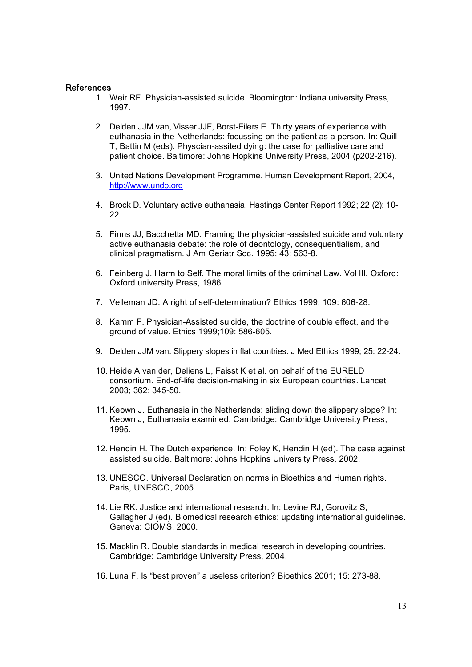### References

- 1. Weir RF. Physician-assisted suicide. Bloomington: Indiana university Press, 1997.
- 2. Delden JJM van. Visser JJF, Borst-Eilers E. Thirty years of experience with euthanasia in the Netherlands: focussing on the patient as a person. In: Quill T. Battin M (eds). Physcian-assited dying: the case for palliative care and patient choice. Baltimore: Johns Hopkins University Press, 2004 (p202-216).
- 3. United Nations Development Programme. Human Development Report, 2004, [http://www.undp.org](http://www.undp.org/)
- 4. Brock D. Voluntary active euthanasia. Hastings Center Report 1992; 22 (2): 10 22.
- 5. Finns JJ, Bacchetta MD. Framing the physician-assisted suicide and voluntary active euthanasia debate: the role of deontology, consequentialism, and clinical pragmatism. J Am Geriatr Soc. 1995; 43: 563-8.
- 6. Feinberg J. Harm to Self. The moral limits of the criminal Law. Vol III. Oxford: Oxford university Press, 1986.
- 7. Velleman JD. A right of self-determination? Ethics 1999; 109: 606-28.
- 8. Kamm F. Physician-Assisted suicide, the doctrine of double effect, and the ground of value. Ethics 1999;109: 586-605.
- 9. Delden JJM van. Slippery slopes in flat countries. J Med Ethics 1999; 25: 2224.
- 10. Heide A van der, Deliens L, Faisst K et al. on behalf of the EURELD consortium. End-of-life decision-making in six European countries. Lancet 2003; 362: 345-50.
- 11. Keown J. Euthanasia in the Netherlands: sliding down the slippery slope? In: Keown J, Euthanasia examined. Cambridge: Cambridge University Press, 1995.
- 12. Hendin H. The Dutch experience. In: Foley K, Hendin H (ed). The case against assisted suicide. Baltimore: Johns Hopkins University Press, 2002.
- 13. UNESCO. Universal Declaration on norms in Bioethics and Human rights. Paris, UNESCO, 2005.
- 14. Lie RK. Justice and international research. In: Levine RJ, Gorovitz S, Gallagher J (ed). Biomedical research ethics: updating international guidelines. Geneva: CIOMS, 2000.
- 15. Macklin R. Double standards in medical research in developing countries. Cambridge: Cambridge University Press, 2004.
- 16. Luna F. Is "best proven" a useless criterion? Bioethics 2001; 15: 273-88.